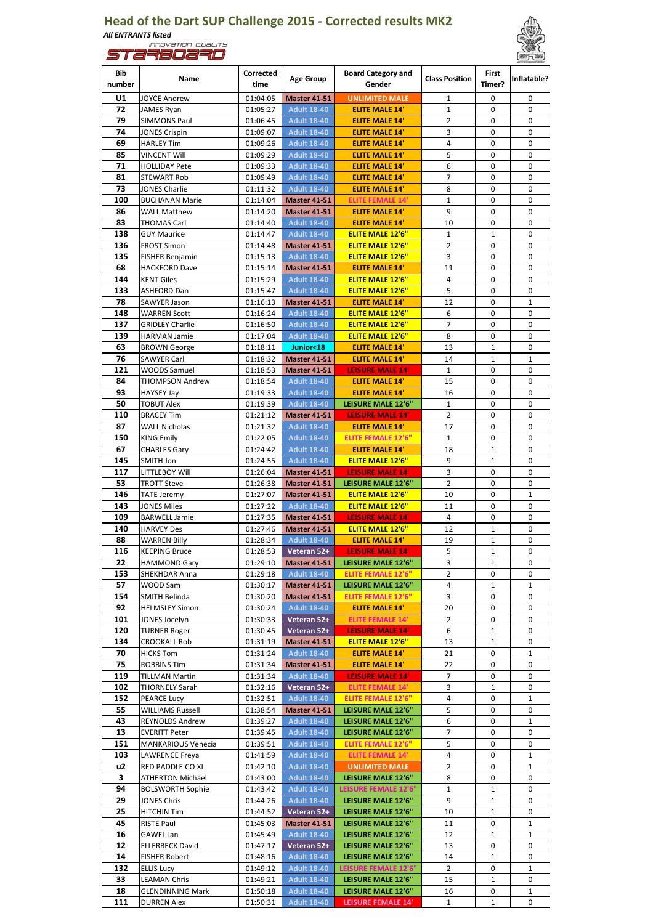## **Head of the Dart SUP Challenge 2015 - Corrected results MK2** *All ENTRANTS listed*





| Bib<br>number | Name                                        | Corrected<br>time    | <b>Age Group</b>                          | <b>Board Category and</b><br>Gender                | <b>Class Position</b> | First<br>Timer?   | Inflatable?  |
|---------------|---------------------------------------------|----------------------|-------------------------------------------|----------------------------------------------------|-----------------------|-------------------|--------------|
| U1            | JOYCE Andrew                                | 01:04:05             | <b>Master 41-51</b>                       | <b>UNLIMITED MALE</b>                              | 1                     | 0                 | 0            |
| 72            | JAMES Ryan                                  | 01:05:27             | <b>Adult 18-40</b>                        | <b>ELITE MALE 14'</b>                              | $\mathbf{1}$          | 0                 | 0            |
| 79            | <b>SIMMONS Paul</b>                         | 01:06:45             | <b>Adult 18-40</b>                        | <b>ELITE MALE 14'</b>                              | 2                     | 0                 | 0            |
| 74            | <b>JONES Crispin</b>                        | 01:09:07             | <b>Adult 18-40</b>                        | <b>ELITE MALE 14'</b>                              | 3                     | 0                 | 0            |
| 69            | <b>HARLEY Tim</b>                           | 01:09:26             | <b>Adult 18-40</b>                        | <b>ELITE MALE 14'</b>                              | 4<br>5                | 0                 | 0<br>0       |
| 85<br>71      | VINCENT Will                                | 01:09:29             | <b>Adult 18-40</b>                        | <b>ELITE MALE 14'</b>                              | 6                     | 0<br>0            | 0            |
| 81            | <b>HOLLIDAY Pete</b><br>STEWART Rob         | 01:09:33<br>01:09:49 | <b>Adult 18-40</b><br><b>Adult 18-40</b>  | <b>ELITE MALE 14'</b><br><b>ELITE MALE 14'</b>     | 7                     | 0                 | 0            |
| 73            | JONES Charlie                               | 01:11:32             | <b>Adult 18-40</b>                        | <b>ELITE MALE 14'</b>                              | 8                     | 0                 | 0            |
| 100           | <b>BUCHANAN Marie</b>                       | 01:14:04             | <b>Master 41-51</b>                       | <b>ELITE FEMALE 14'</b>                            | $\mathbf{1}$          | 0                 | 0            |
| 86            | <b>WALL Matthew</b>                         | 01:14:20             | <b>Master 41-51</b>                       | <b>ELITE MALE 14'</b>                              | 9                     | 0                 | 0            |
| 83            | <b>THOMAS Carl</b>                          | 01:14:40             | <b>Adult 18-40</b>                        | <b>ELITE MALE 14'</b>                              | 10                    | 0                 | 0            |
| 138           | <b>GUY Maurice</b>                          | 01:14:47             | <b>Adult 18-40</b>                        | <b>ELITE MALE 12'6"</b>                            | $\mathbf{1}$          | 1                 | 0            |
| 136           | <b>FROST Simon</b>                          | 01:14:48             | <b>Master 41-51</b>                       | <b>ELITE MALE 12'6"</b>                            | $\overline{2}$        | 0                 | 0            |
| 135           | FISHER Benjamin                             | 01:15:13             | <b>Adult 18-40</b>                        | <b>ELITE MALE 12'6"</b>                            | 3                     | 0                 | 0            |
| 68            | <b>HACKFORD Dave</b>                        | 01:15:14             | <b>Master 41-51</b>                       | <b>ELITE MALE 14'</b>                              | 11                    | 0                 | 0            |
| 144           | <b>KENT Giles</b>                           | 01:15:29             | <b>Adult 18-40</b>                        | <b>ELITE MALE 12'6"</b>                            | 4                     | 0                 | 0            |
| 133           | ASHFORD Dan                                 | 01:15:47             | <b>Adult 18-40</b>                        | <b>ELITE MALE 12'6"</b>                            | 5                     | 0                 | 0            |
| 78            | SAWYER Jason                                | 01:16:13             | <b>Master 41-51</b>                       | <b>ELITE MALE 14'</b>                              | 12                    | 0                 | 1            |
| 148           | <b>WARREN Scott</b>                         | 01:16:24             | <b>Adult 18-40</b>                        | <b>ELITE MALE 12'6"</b>                            | 6                     | 0                 | 0            |
| 137           | <b>GRIDLEY Charlie</b>                      | 01:16:50             | <b>Adult 18-40</b>                        | <b>ELITE MALE 12'6"</b><br><b>ELITE MALE 12'6"</b> | $\overline{7}$        | 0                 | 0<br>0       |
| 139<br>63     | <b>HARMAN Jamie</b><br><b>BROWN George</b>  | 01:17:04<br>01:18:11 | <b>Adult 18-40</b><br>Junior<18           | <b>ELITE MALE 14'</b>                              | 8<br>13               | 0<br>1            | 0            |
| 76            | SAWYER Carl                                 | 01:18:32             | <b>Master 41-51</b>                       | <b>ELITE MALE 14'</b>                              | 14                    | $\mathbf{1}$      | $\mathbf{1}$ |
| 121           | <b>WOODS Samuel</b>                         | 01:18:53             | <b>Master 41-51</b>                       | <b>LEISURE MALE 14'</b>                            | $\mathbf{1}$          | 0                 | 0            |
| 84            | <b>THOMPSON Andrew</b>                      | 01:18:54             | <b>Adult 18-40</b>                        | <b>ELITE MALE 14'</b>                              | 15                    | 0                 | 0            |
| 93            | HAYSEY Jay                                  | 01:19:33             | <b>Adult 18-40</b>                        | <b>ELITE MALE 14'</b>                              | 16                    | 0                 | 0            |
| 50            | <b>TOBUT Alex</b>                           | 01:19:39             | <b>Adult 18-40</b>                        | LEISURE MALE 12'6"                                 | $\mathbf{1}$          | 0                 | 0            |
| 110           | <b>BRACEY Tim</b>                           | 01:21:12             | <b>Master 41-51</b>                       | <b>LEISURE MALE 14'</b>                            | 2                     | 0                 | 0            |
| 87            | <b>WALL Nicholas</b>                        | 01:21:32             | <b>Adult 18-40</b>                        | <b>ELITE MALE 14'</b>                              | 17                    | 0                 | 0            |
| 150           | <b>KING Emily</b>                           | 01:22:05             | <b>Adult 18-40</b>                        | <b>ELITE FEMALE 12'6"</b>                          | $\mathbf{1}$          | 0                 | 0            |
| 67            | <b>CHARLES Gary</b>                         | 01:24:42             | <b>Adult 18-40</b>                        | <b>ELITE MALE 14'</b>                              | 18                    | $\mathbf{1}$      | 0            |
| 145           | SMITH Jon                                   | 01:24:55             | <b>Adult 18-40</b>                        | <b>ELITE MALE 12'6"</b>                            | 9                     | 1                 | 0            |
| 117           | LITTLEBOY Will                              | 01:26:04             | <b>Master 41-51</b>                       | <b>LEISURE MALE 14'</b>                            | 3                     | 0                 | 0            |
| 53            | <b>TROTT Steve</b>                          | 01:26:38             | <b>Master 41-51</b>                       | LEISURE MALE 12'6"                                 | $\overline{2}$        | 0                 | 0            |
| 146<br>143    | <b>TATE Jeremy</b><br><b>JONES Miles</b>    | 01:27:07             | <b>Master 41-51</b>                       | <b>ELITE MALE 12'6"</b>                            | 10<br>11              | 0<br>0            | 1<br>0       |
| 109           | <b>BARWELL Jamie</b>                        | 01:27:22<br>01:27:35 | <b>Adult 18-40</b><br><b>Master 41-51</b> | <b>ELITE MALE 12'6"</b><br><b>LEISURE MALE 14'</b> | 4                     | 0                 | 0            |
| 140           | <b>HARVEY Des</b>                           | 01:27:46             | <b>Master 41-51</b>                       | <b>ELITE MALE 12'6"</b>                            | 12                    | $\mathbf{1}$      | 0            |
| 88            | <b>WARREN Billy</b>                         | 01:28:34             | <b>Adult 18-40</b>                        | <b>ELITE MALE 14'</b>                              | 19                    | 1                 | 0            |
| 116           | <b>KEEPING Bruce</b>                        | 01:28:53             | Veteran 52+                               | <b>LEISURE MALE 14'</b>                            | 5                     | 1                 | 0            |
| 22            | <b>HAMMOND Gary</b>                         | 01:29:10             | <b>Master 41-51</b>                       | LEISURE MALE 12'6"                                 | 3                     | $\mathbf{1}$      | 0            |
| 153           | SHEKHDAR Anna                               | 01:29:18             | <b>Adult 18-40</b>                        | <b>ELITE FEMALE 12'6"</b>                          | 2                     | 0                 | 0            |
| 57            | WOOD Sam                                    | 01:30:17             | <b>Master 41-51</b>                       | LEISURE MALE 12'6"                                 | 4                     | 1                 | 1            |
| 154           | <b>SMITH Belinda</b>                        | 01:30:20             | <b>Master 41-51</b>                       | <b>ELITE FEMALE 12'6"</b>                          | 3                     | 0                 | 0            |
| 92            | <b>HELMSLEY Simon</b>                       | 01:30:24             | <b>Adult 18-40</b>                        | <b>ELITE MALE 14'</b>                              | 20                    | 0                 | 0            |
| 101           | JONES Jocelyn                               | 01:30:33             | Veteran 52+                               | <b>ELITE FEMALE 14'</b>                            | 2                     | 0                 | 0            |
| 120           | <b>TURNER Roger</b>                         | 01:30:45             | Veteran 52+                               | <b>LEISURE MALE 14'</b>                            | 6                     | 1                 | 0            |
| 134           | <b>CROOKALL Rob</b>                         | 01:31:19             | <b>Master 41-51</b>                       | <b>ELITE MALE 12'6"</b>                            | 13                    | $\mathbf{1}$      | 0            |
| 70            | <b>HICKS Tom</b>                            | 01:31:24             | <b>Adult 18-40</b>                        | <b>ELITE MALE 14'</b>                              | 21                    | 0                 | 1            |
| 75<br>119     | <b>ROBBINS Tim</b><br><b>TILLMAN Martin</b> | 01:31:34<br>01:31:34 | <b>Master 41-51</b>                       | <b>ELITE MALE 14'</b><br><b>LEISURE MALE 14'</b>   | 22<br>7               | 0<br>0            | 0<br>0       |
| 102           | THORNELY Sarah                              | 01:32:16             | <b>Adult 18-40</b><br>Veteran 52+         | <b>ELITE FEMALE 14'</b>                            | 3                     | 1                 | 0            |
| 152           | <b>PEARCE Lucy</b>                          | 01:32:51             | <b>Adult 18-40</b>                        | <b>ELITE FEMALE 12'6"</b>                          | 4                     | 0                 | 1            |
| 55            | <b>WILLIAMS Russell</b>                     | 01:38:54             | <b>Master 41-51</b>                       | LEISURE MALE 12'6"                                 | 5                     | 0                 | 0            |
| 43            | <b>REYNOLDS Andrew</b>                      | 01:39:27             | <b>Adult 18-40</b>                        | LEISURE MALE 12'6"                                 | 6                     | 0                 | 1            |
| 13            | <b>EVERITT Peter</b>                        | 01:39:45             | <b>Adult 18-40</b>                        | LEISURE MALE 12'6"                                 | 7                     | 0                 | 0            |
| 151           | <b>MANKARIOUS Venecia</b>                   | 01:39:51             | <b>Adult 18-40</b>                        | ELITE FEMALE 12'6"                                 | 5                     | 0                 | 0            |
| 103           | LAWRENCE Freya                              | 01:41:59             | <b>Adult 18-40</b>                        | <b>ELITE FEMALE 14'</b>                            | 4                     | 0                 | 1            |
| u2            | RED PADDLE CO XL                            | 01:42:10             | <b>Adult 18-40</b>                        | <b>UNLIMITED MALE</b>                              | $\overline{2}$        | 0                 | 1            |
| 3             | ATHERTON Michael                            | 01:43:00             | <b>Adult 18-40</b>                        | LEISURE MALE 12'6"                                 | 8                     | 0                 | 0            |
| 94            | <b>BOLSWORTH Sophie</b>                     | 01:43:42             | <b>Adult 18-40</b>                        | LEISURE FEMALE 12'6"                               | $\mathbf{1}$          | $\mathbf{1}$      | 0            |
| 29<br>25      | JONES Chris                                 | 01:44:26             | <b>Adult 18-40</b>                        | LEISURE MALE 12'6"                                 | 9                     | 1<br>$\mathbf{1}$ | 0<br>0       |
| 45            | <b>HITCHIN Tim</b><br>RISTE Paul            | 01:44:52<br>01:45:03 | Veteran 52+<br><b>Master 41-51</b>        | LEISURE MALE 12'6"<br>LEISURE MALE 12'6"           | 10<br>11              | 0                 | 1            |
| 16            | GAWEL Jan                                   | 01:45:49             | <b>Adult 18-40</b>                        | LEISURE MALE 12'6"                                 | 12                    | $\mathbf{1}$      | 1            |
| 12            | <b>ELLERBECK David</b>                      | 01:47:17             | Veteran 52+                               | LEISURE MALE 12'6"                                 | 13                    | 0                 | 0            |
| 14            | <b>FISHER Robert</b>                        | 01:48:16             | <b>Adult 18-40</b>                        | LEISURE MALE 12'6"                                 | 14                    | 1                 | 0            |
| 132           | <b>ELLIS Lucy</b>                           | 01:49:12             | <b>Adult 18-40</b>                        | LEISURE FEMALE 12'6"                               | 2                     | 0                 | 1            |
| 33            | <b>LEAMAN Chris</b>                         | 01:49:21             | <b>Adult 18-40</b>                        | LEISURE MALE 12'6"                                 | 15                    | 1                 | 0            |
| 18            | <b>GLENDINNING Mark</b>                     | 01:50:18             | <b>Adult 18-40</b>                        | LEISURE MALE 12'6"                                 | 16                    | 0                 | 1            |
| 111           | <b>DURREN Alex</b>                          | 01:50:31             | <b>Adult 18-40</b>                        | LEISURE FEMALE 14'                                 | $\mathbf{1}$          | $\mathbf{1}$      | 0            |